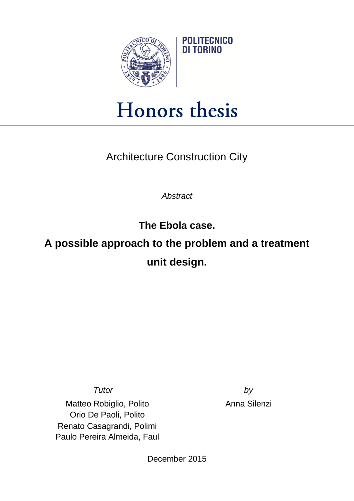

## Honors thesis

Architecture Construction City

*Abstract*

**The Ebola case.**

## **A possible approach to the problem and a treatment unit design.**

Matteo Robiglio, Polito Orio De Paoli, Polito Renato Casagrandi, Polimi Paulo Pereira Almeida, Faul

*Tutor by* Anna Silenzi

December 2015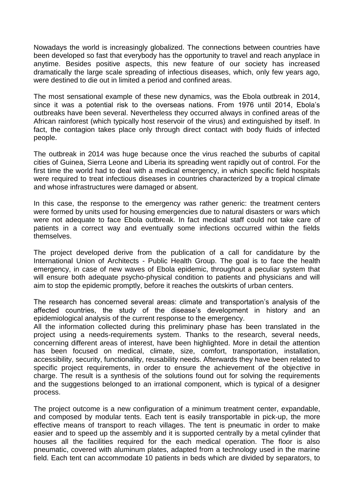Nowadays the world is increasingly globalized. The connections between countries have been developed so fast that everybody has the opportunity to travel and reach anyplace in anytime. Besides positive aspects, this new feature of our society has increased dramatically the large scale spreading of infectious diseases, which, only few years ago, were destined to die out in limited a period and confined areas.

The most sensational example of these new dynamics, was the Ebola outbreak in 2014, since it was a potential risk to the overseas nations. From 1976 until 2014, Ebola's outbreaks have been several. Nevertheless they occurred always in confined areas of the African rainforest (which typically host reservoir of the virus) and extinguished by itself. In fact, the contagion takes place only through direct contact with body fluids of infected people.

The outbreak in 2014 was huge because once the virus reached the suburbs of capital cities of Guinea, Sierra Leone and Liberia its spreading went rapidly out of control. For the first time the world had to deal with a medical emergency, in which specific field hospitals were required to treat infectious diseases in countries characterized by a tropical climate and whose infrastructures were damaged or absent.

In this case, the response to the emergency was rather generic: the treatment centers were formed by units used for housing emergencies due to natural disasters or wars which were not adequate to face Ebola outbreak. In fact medical staff could not take care of patients in a correct way and eventually some infections occurred within the fields themselves.

The project developed derive from the publication of a call for candidature by the International Union of Architects - Public Health Group. The goal is to face the health emergency, in case of new waves of Ebola epidemic, throughout a peculiar system that will ensure both adequate psycho-physical condition to patients and physicians and will aim to stop the epidemic promptly, before it reaches the outskirts of urban centers.

The research has concerned several areas: climate and transportation's analysis of the affected countries, the study of the disease's development in history and an epidemiological analysis of the current response to the emergency.

All the information collected during this preliminary phase has been translated in the project using a needs-requirements system. Thanks to the research, several needs, concerning different areas of interest, have been highlighted. More in detail the attention has been focused on medical, climate, size, comfort, transportation, installation, accessibility, security, functionality, reusability needs. Afterwards they have been related to specific project requirements, in order to ensure the achievement of the objective in charge. The result is a synthesis of the solutions found out for solving the requirements and the suggestions belonged to an irrational component, which is typical of a designer process.

The project outcome is a new configuration of a minimum treatment center, expandable, and composed by modular tents. Each tent is easily transportable in pick-up, the more effective means of transport to reach villages. The tent is pneumatic in order to make easier and to speed up the assembly and it is supported centrally by a metal cylinder that houses all the facilities required for the each medical operation. The floor is also pneumatic, covered with aluminum plates, adapted from a technology used in the marine field. Each tent can accommodate 10 patients in beds which are divided by separators, to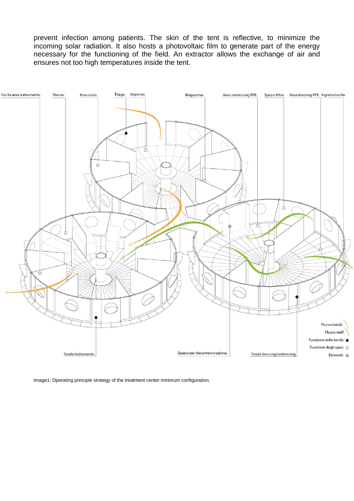prevent infection among patients. The skin of the tent is reflective, to minimize the incoming solar radiation. It also hosts a photovoltaic film to generate part of the energy necessary for the functioning of the field. An extractor allows the exchange of air and ensures not too high temperatures inside the tent.



Image1: Operating principle strategy of the treatment center minimum configuration.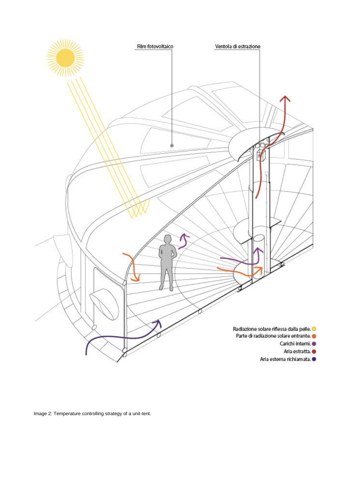

Image 2: Temperature controlling strategy of a unit-tent.